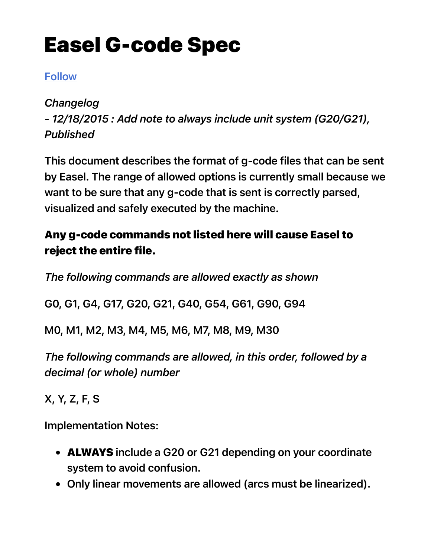# Easel G-code Spec

#### **Follow**

*Changelog*

*- 12/18/2015 : Add note to always include unit system (G20/G21), Published*

This document describes the format of g-code files that can be sent by Easel. The range of allowed options is currently small because we want to be sure that any g-code that is sent is correctly parsed, visualized and safely executed by the machine.

#### Any g-code commands not listed here will cause Easel to reject the entire file.

*The following commands are allowed exactly as shown*

G0, G1, G4, G17, G20, G21, G40, G54, G61, G90, G94

M0, M1, M2, M3, M4, M5, M6, M7, M8, M9, M30

*The following commands are allowed, in this order, followed by a decimal (or whole) number*

X, Y, Z, F, S

Implementation Notes:

- **ALWAYS** include a G20 or G21 depending on your coordinate system to avoid confusion.
- Only linear movements are allowed (arcs must be linearized).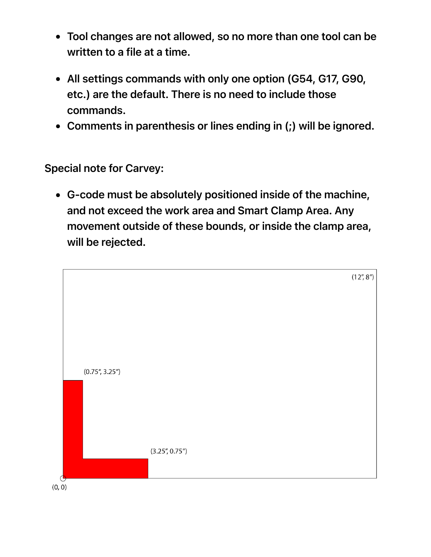- Tool changes are not allowed, so no more than one tool can be written to a file at a time.
- All settings commands with only one option (G54, G17, G90, etc.) are the default. There is no need to include those commands.
- Comments in parenthesis or lines ending in (;) will be ignored.

Special note for Carvey:

G-code must be absolutely positioned inside of the machine, and not exceed the work area and Smart Clamp Area. Any movement outside of these bounds, or inside the clamp area, will be rejected.